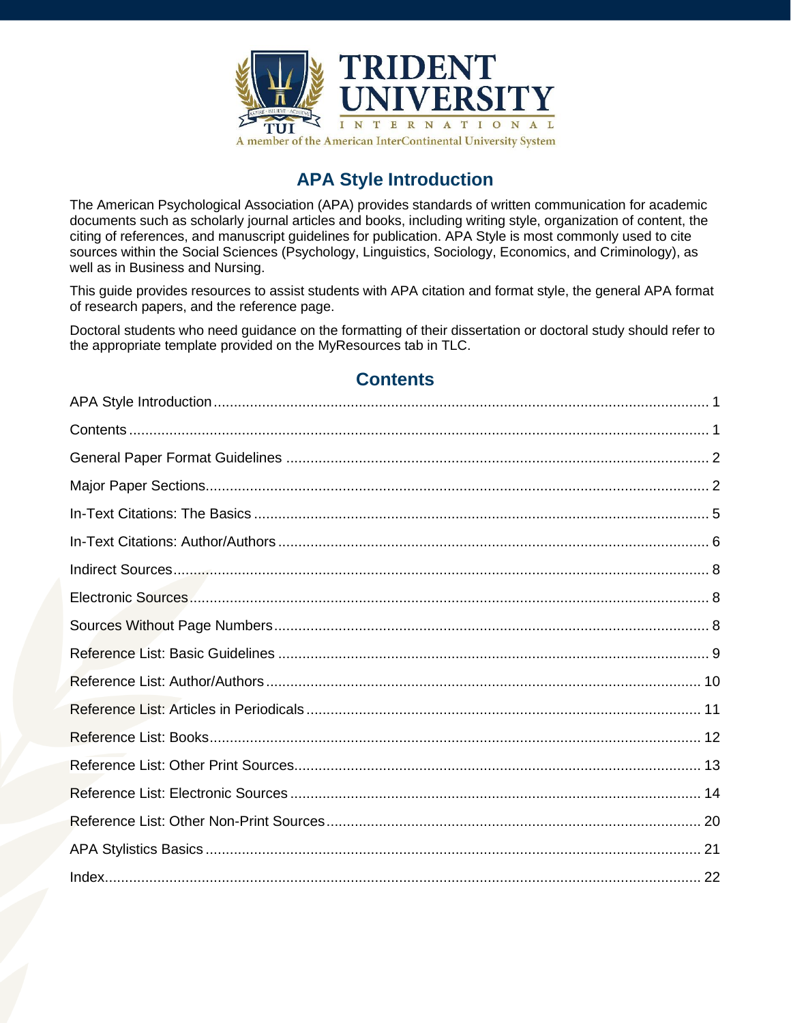

# **APA Style Introduction**

<span id="page-0-1"></span>The American Psychological Association (APA) provides standards of written communication for academic documents such as scholarly journal articles and books, including writing style, organization of content, the citing of references, and manuscript guidelines for publication. APA Style is most commonly used to cite sources within the Social Sciences (Psychology, Linguistics, Sociology, Economics, and Criminology), as well as in Business and Nursing.

This guide provides resources to assist students with APA citation and format style, the general APA format of research papers, and the reference page.

<span id="page-0-0"></span>Doctoral students who need guidance on the formatting of their dissertation or doctoral study should refer to the appropriate template provided on the MyResources tab in TLC.

# **Contents**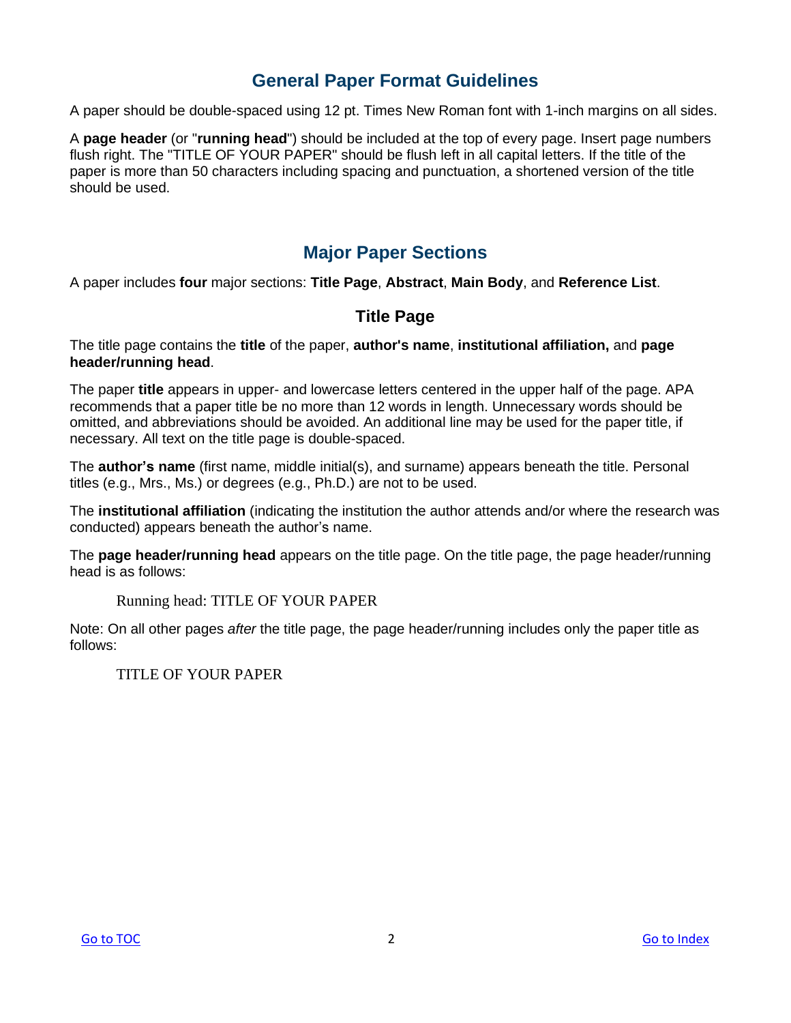# <span id="page-1-0"></span>**General Paper Format Guidelines**

A paper should be double-spaced using 12 pt. Times New Roman font with 1-inch margins on all sides.

<span id="page-1-1"></span>A **page header** (or "**running head**") should be included at the top of every page. Insert page numbers flush right. The "TITLE OF YOUR PAPER" should be flush left in all capital letters. If the title of the paper is more than 50 characters including spacing and punctuation, a shortened version of the title should be used.

## **Major Paper Sections**

A paper includes **four** major sections: **Title Page**, **Abstract**, **Main Body**, and **Reference List**.

## **Title Page**

The title page contains the **title** of the paper, **author's name**, **institutional affiliation,** and **page header/running head**.

The paper **title** appears in upper- and lowercase letters centered in the upper half of the page. APA recommends that a paper title be no more than 12 words in length. Unnecessary words should be omitted, and abbreviations should be avoided. An additional line may be used for the paper title, if necessary. All text on the title page is double-spaced.

The **author's name** (first name, middle initial(s), and surname) appears beneath the title. Personal titles (e.g., Mrs., Ms.) or degrees (e.g., Ph.D.) are not to be used.

The **institutional affiliation** (indicating the institution the author attends and/or where the research was conducted) appears beneath the author's name.

The **page header/running head** appears on the title page. On the title page, the page header/running head is as follows:

Running head: TITLE OF YOUR PAPER

Note: On all other pages *after* the title page, the page header/running includes only the paper title as follows:

TITLE OF YOUR PAPER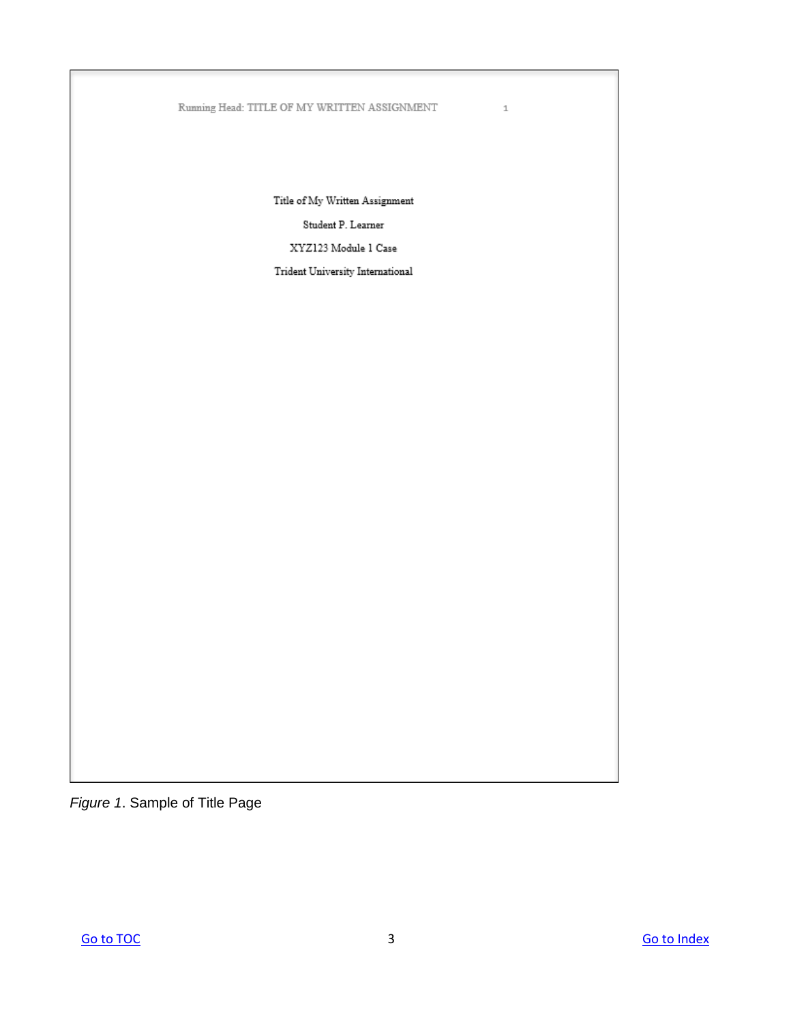#### $\operatorname{Running}\nolimits$  Head:  $\operatorname{TTLE}\nolimits$  OF MY WRITTEN ASSIGNMENT

 $\operatorname{Title}$  of My Written Assignment

 $\,$   $\,$ 

Student P. Learner

XYZ123 Module 1 Case

Trident University International

*Figure 1*. Sample of Title Page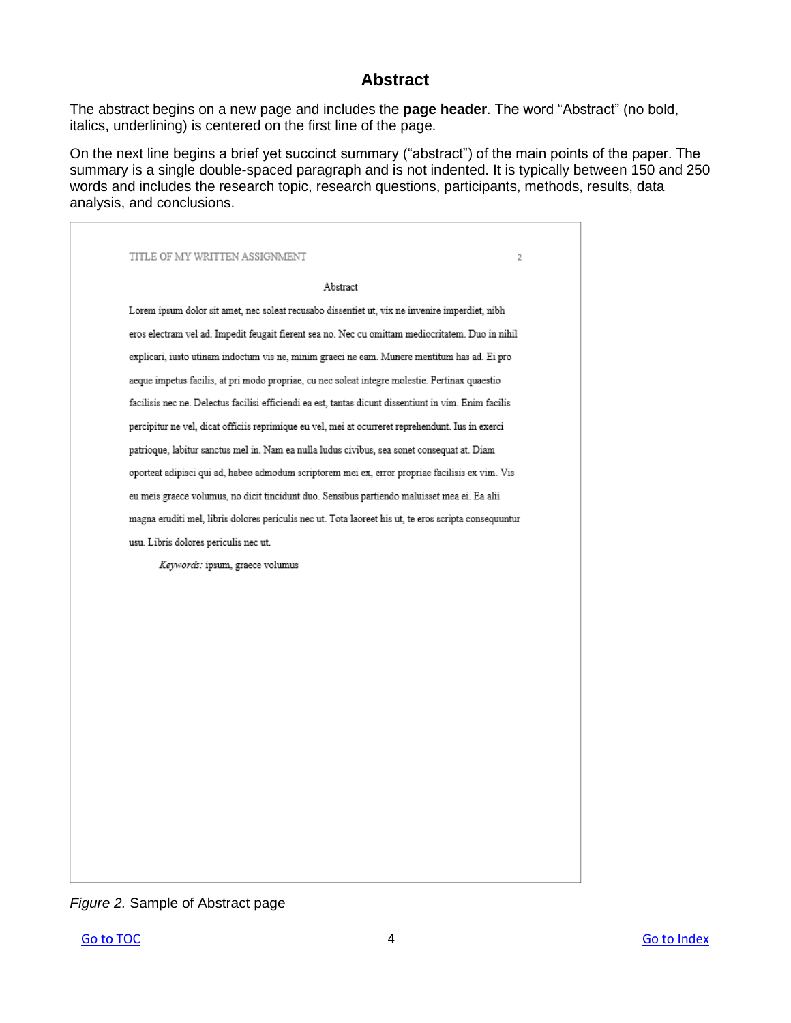## **Abstract**

The abstract begins on a new page and includes the **page header**. The word "Abstract" (no bold, italics, underlining) is centered on the first line of the page.

On the next line begins a brief yet succinct summary ("abstract") of the main points of the paper. The summary is a single double-spaced paragraph and is not indented. It is typically between 150 and 250 words and includes the research topic, research questions, participants, methods, results, data analysis, and conclusions.

| TITLE OF MY WRITTEN ASSIGNMENT<br>2                                                                   |  |
|-------------------------------------------------------------------------------------------------------|--|
| Abstract                                                                                              |  |
| Lorem ipsum dolor sit amet, nec soleat recusabo dissentiet ut, vix ne invenire imperdiet, nibh        |  |
| eros electram vel ad. Impedit feugait fierent sea no. Nec cu omittam mediocritatem. Duo in nihil      |  |
| explicari, iusto utinam indoctum vis ne, minim graeci ne eam. Munere mentitum has ad. Ei pro          |  |
| aeque impetus facilis, at pri modo propriae, cu nec soleat integre molestie. Pertinax quaestio        |  |
| facilisis nec ne. Delectus facilisi efficiendi ea est, tantas dicunt dissentiunt in vim. Enim facilis |  |
| percipitur ne vel, dicat officiis reprimique eu vel, mei at ocurreret reprehendunt. Ius in exerci     |  |
| patrioque, labitur sanctus mel in. Nam ea nulla ludus civibus, sea sonet consequat at. Diam           |  |
| oporteat adipisci qui ad, habeo admodum scriptorem mei ex, error propriae facilisis ex vim. Vis       |  |
| eu meis graece volumus, no dicit tincidunt duo. Sensibus partiendo maluisset mea ei. Ea alii          |  |
| magna eruditi mel, libris dolores periculis nec ut. Tota laoreet his ut, te eros scripta consequuntur |  |
| usu. Libris dolores periculis nec ut.                                                                 |  |
| Keywords: ipsum, graece volumus                                                                       |  |
|                                                                                                       |  |
|                                                                                                       |  |
|                                                                                                       |  |
|                                                                                                       |  |
|                                                                                                       |  |
|                                                                                                       |  |
|                                                                                                       |  |
|                                                                                                       |  |
|                                                                                                       |  |
|                                                                                                       |  |
|                                                                                                       |  |
|                                                                                                       |  |
|                                                                                                       |  |

*Figure 2.* Sample of Abstract page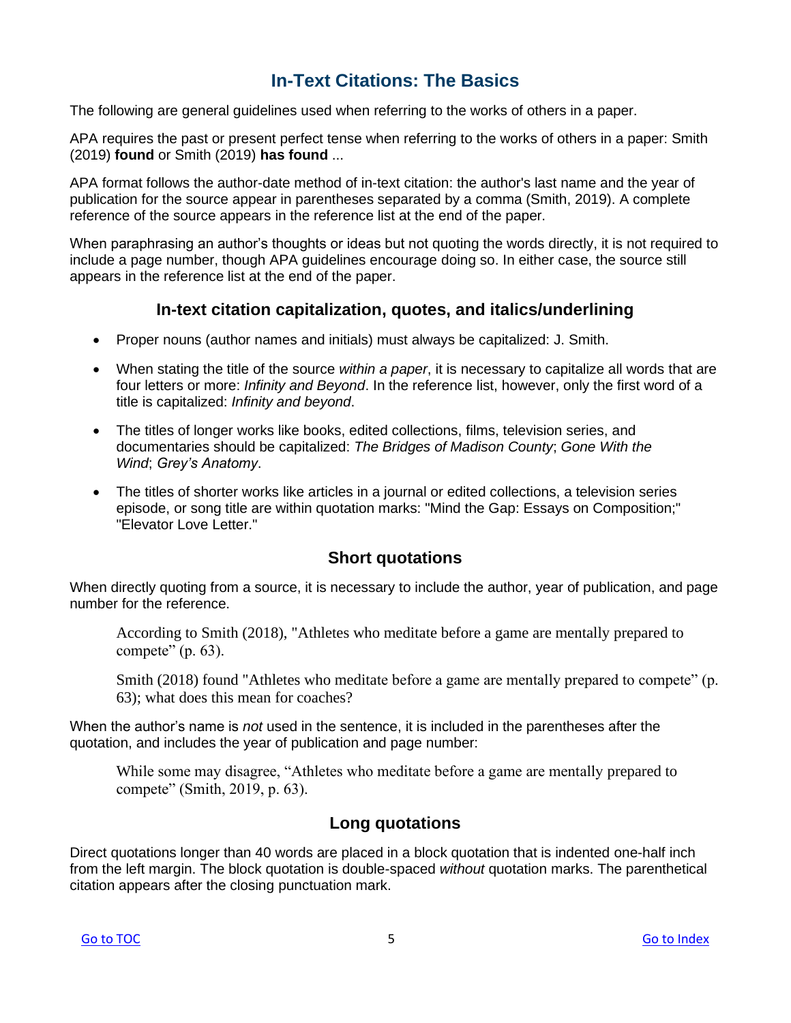# **In-Text Citations: The Basics**

<span id="page-4-0"></span>The following are general guidelines used when referring to the works of others in a paper.

APA requires the past or present perfect tense when referring to the works of others in a paper: Smith (2019) **found** or Smith (2019) **has found** ...

APA format follows the author-date method of in-text citation: the author's last name and the year of publication for the source appear in parentheses separated by a comma (Smith, 2019). A complete reference of the source appears in the reference list at the end of the paper.

When paraphrasing an author's thoughts or ideas but not quoting the words directly, it is not required to include a page number, though APA guidelines encourage doing so. In either case, the source still appears in the reference list at the end of the paper.

## **In-text citation capitalization, quotes, and italics/underlining**

- Proper nouns (author names and initials) must always be capitalized: J. Smith.
- When stating the title of the source *within a paper*, it is necessary to capitalize all words that are four letters or more: *Infinity and Beyond*. In the reference list, however, only the first word of a title is capitalized: *Infinity and beyond*.
- The titles of longer works like books, edited collections, films, television series, and documentaries should be capitalized: *The Bridges of Madison County*; *Gone With the Wind*; *Grey's Anatomy*.
- The titles of shorter works like articles in a journal or edited collections, a television series episode, or song title are within quotation marks: "Mind the Gap: Essays on Composition;" "Elevator Love Letter."

#### **Short quotations**

When directly quoting from a source, it is necessary to include the author, year of publication, and page number for the reference.

According to Smith (2018), "Athletes who meditate before a game are mentally prepared to compete"  $(p. 63)$ .

Smith (2018) found "Athletes who meditate before a game are mentally prepared to compete" (p. 63); what does this mean for coaches?

When the author's name is *not* used in the sentence, it is included in the parentheses after the quotation, and includes the year of publication and page number:

While some may disagree, "Athletes who meditate before a game are mentally prepared to compete" (Smith, 2019, p. 63).

## **Long quotations**

Direct quotations longer than 40 words are placed in a block quotation that is indented one-half inch from the left margin. The block quotation is double-spaced *without* quotation marks. The parenthetical citation appears after the closing punctuation mark.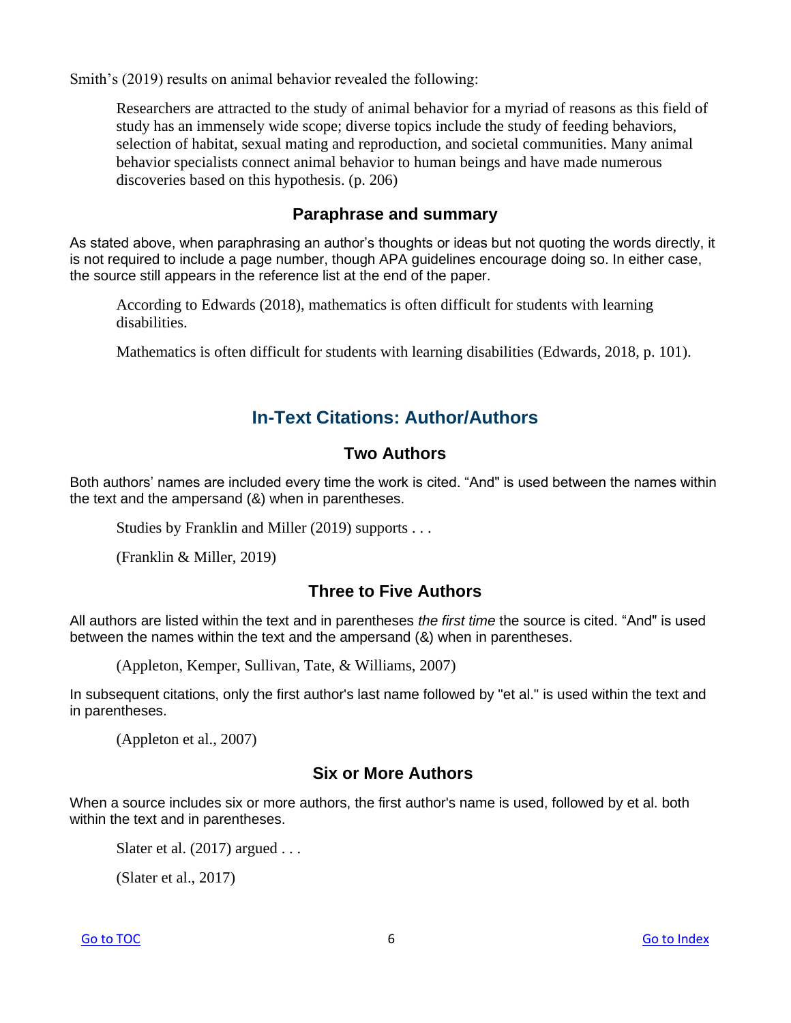Smith's (2019) results on animal behavior revealed the following:

Researchers are attracted to the study of animal behavior for a myriad of reasons as this field of study has an immensely wide scope; diverse topics include the study of feeding behaviors, selection of habitat, sexual mating and reproduction, and societal communities. Many animal behavior specialists connect animal behavior to human beings and have made numerous discoveries based on this hypothesis. (p. 206)

## **Paraphrase and summary**

As stated above, when paraphrasing an author's thoughts or ideas but not quoting the words directly, it is not required to include a page number, though APA guidelines encourage doing so. In either case, the source still appears in the reference list at the end of the paper.

According to Edwards (2018), mathematics is often difficult for students with learning disabilities.

<span id="page-5-0"></span>Mathematics is often difficult for students with learning disabilities (Edwards, 2018, p. 101).

## **In-Text Citations: Author/Authors**

## **Two Authors**

Both authors' names are included every time the work is cited. "And" is used between the names within the text and the ampersand (&) when in parentheses.

Studies by Franklin and Miller (2019) supports . . .

(Franklin & Miller, 2019)

## **Three to Five Authors**

All authors are listed within the text and in parentheses *the first time* the source is cited. "And" is used between the names within the text and the ampersand (&) when in parentheses.

(Appleton, Kemper, Sullivan, Tate, & Williams, 2007)

In subsequent citations, only the first author's last name followed by "et al." is used within the text and in parentheses.

(Appleton et al., 2007)

#### **Six or More Authors**

When a source includes six or more authors, the first author's name is used, followed by et al. both within the text and in parentheses.

Slater et al.  $(2017)$  argued ...

(Slater et al., 2017)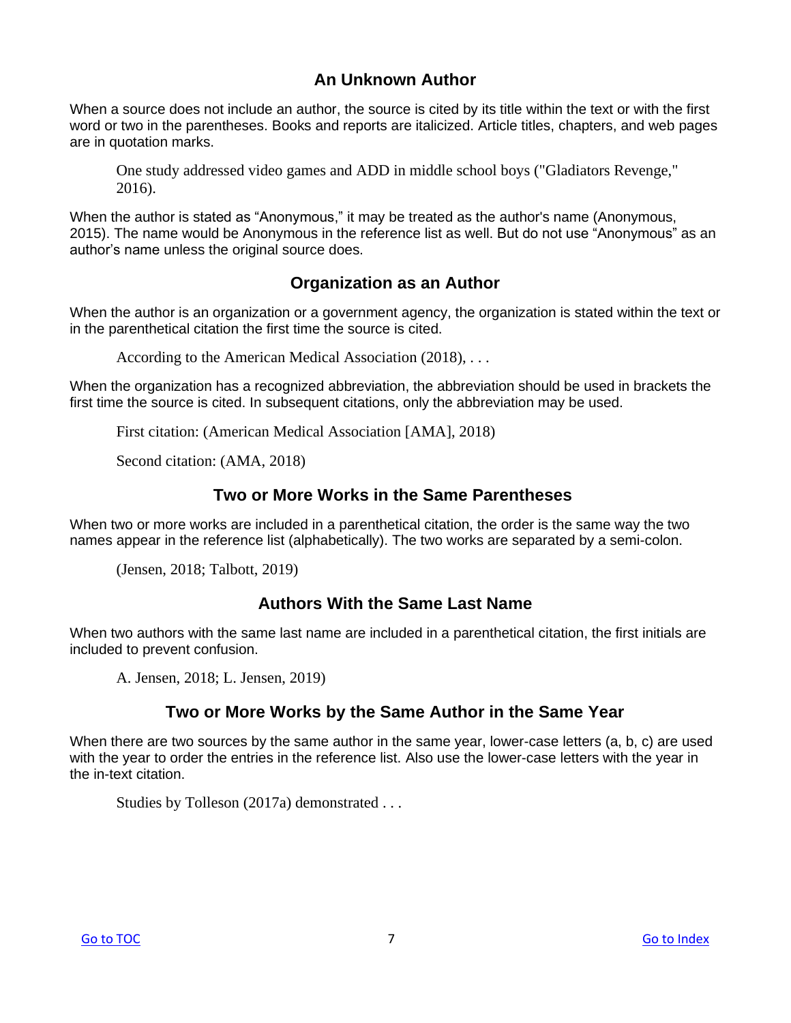## **An Unknown Author**

When a source does not include an author, the source is cited by its title within the text or with the first word or two in the parentheses. Books and reports are italicized. Article titles, chapters, and web pages are in quotation marks.

One study addressed video games and ADD in middle school boys ("Gladiators Revenge," 2016).

When the author is stated as "Anonymous," it may be treated as the author's name (Anonymous, 2015). The name would be Anonymous in the reference list as well. But do not use "Anonymous" as an author's name unless the original source does.

## **Organization as an Author**

When the author is an organization or a government agency, the organization is stated within the text or in the parenthetical citation the first time the source is cited.

According to the American Medical Association (2018), . . .

When the organization has a recognized abbreviation, the abbreviation should be used in brackets the first time the source is cited. In subsequent citations, only the abbreviation may be used.

First citation: (American Medical Association [AMA], 2018)

Second citation: (AMA, 2018)

## **Two or More Works in the Same Parentheses**

When two or more works are included in a parenthetical citation, the order is the same way the two names appear in the reference list (alphabetically). The two works are separated by a semi-colon.

(Jensen, 2018; Talbott, 2019)

## **Authors With the Same Last Name**

When two authors with the same last name are included in a parenthetical citation, the first initials are included to prevent confusion.

A. Jensen, 2018; L. Jensen, 2019)

## **Two or More Works by the Same Author in the Same Year**

When there are two sources by the same author in the same year, lower-case letters (a, b, c) are used with the year to order the entries in the reference list. Also use the lower-case letters with the year in the in-text citation.

Studies by Tolleson (2017a) demonstrated . . .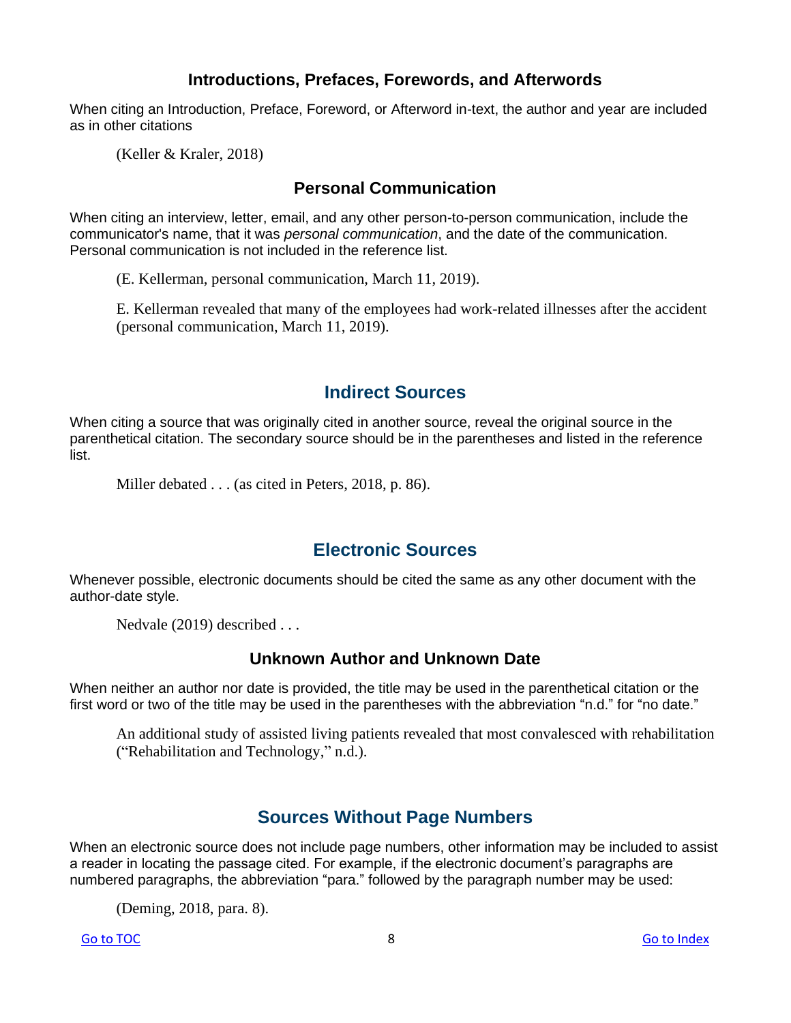## **Introductions, Prefaces, Forewords, and Afterwords**

When citing an Introduction, Preface, Foreword, or Afterword in-text, the author and year are included as in other citations

(Keller & Kraler, 2018)

## **Personal Communication**

When citing an interview, letter, email, and any other person-to-person communication, include the communicator's name, that it was *personal communication*, and the date of the communication. Personal communication is not included in the reference list.

(E. Kellerman, personal communication, March 11, 2019).

<span id="page-7-0"></span>E. Kellerman revealed that many of the employees had work-related illnesses after the accident (personal communication, March 11, 2019).

# **Indirect Sources**

When citing a source that was originally cited in another source, reveal the original source in the parenthetical citation. The secondary source should be in the parentheses and listed in the reference list.

<span id="page-7-1"></span>Miller debated . . . (as cited in Peters, 2018, p. 86).

# **Electronic Sources**

Whenever possible, electronic documents should be cited the same as any other document with the author-date style.

Nedvale (2019) described . . .

## **Unknown Author and Unknown Date**

When neither an author nor date is provided, the title may be used in the parenthetical citation or the first word or two of the title may be used in the parentheses with the abbreviation "n.d." for "no date."

<span id="page-7-2"></span>An additional study of assisted living patients revealed that most convalesced with rehabilitation ("Rehabilitation and Technology," n.d.).

# **Sources Without Page Numbers**

When an electronic source does not include page numbers, other information may be included to assist a reader in locating the passage cited. For example, if the electronic document's paragraphs are numbered paragraphs, the abbreviation "para." followed by the paragraph number may be used:

(Deming, 2018, para. 8).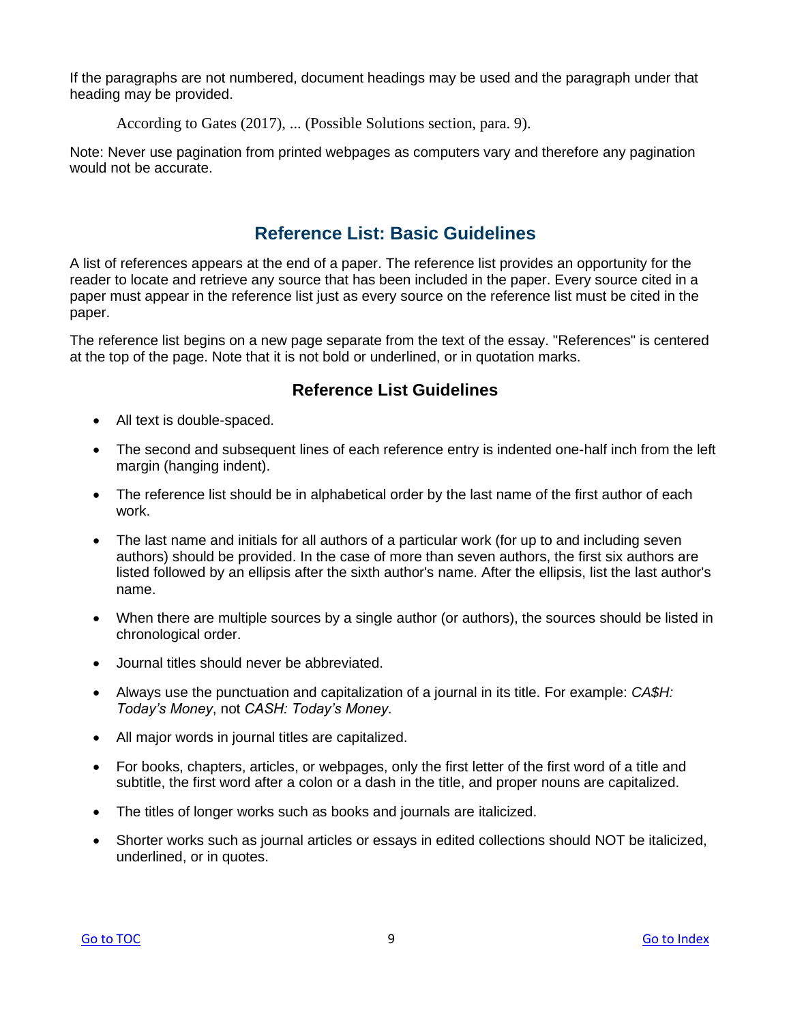If the paragraphs are not numbered, document headings may be used and the paragraph under that heading may be provided.

According to Gates (2017), ... (Possible Solutions section, para. 9).

<span id="page-8-0"></span>Note: Never use pagination from printed webpages as computers vary and therefore any pagination would not be accurate.

# **Reference List: Basic Guidelines**

A list of references appears at the end of a paper. The reference list provides an opportunity for the reader to locate and retrieve any source that has been included in the paper. Every source cited in a paper must appear in the reference list just as every source on the reference list must be cited in the paper.

The reference list begins on a new page separate from the text of the essay. "References" is centered at the top of the page. Note that it is not bold or underlined, or in quotation marks.

## **Reference List Guidelines**

- All text is double-spaced.
- The second and subsequent lines of each reference entry is indented one-half inch from the left margin (hanging indent).
- The reference list should be in alphabetical order by the last name of the first author of each work.
- The last name and initials for all authors of a particular work (for up to and including seven authors) should be provided. In the case of more than seven authors, the first six authors are listed followed by an ellipsis after the sixth author's name. After the ellipsis, list the last author's name.
- When there are multiple sources by a single author (or authors), the sources should be listed in chronological order.
- Journal titles should never be abbreviated.
- Always use the punctuation and capitalization of a journal in its title. For example: *CA\$H: Today's Money*, not *CASH: Today's Money*.
- All major words in journal titles are capitalized.
- For books, chapters, articles, or webpages, only the first letter of the first word of a title and subtitle, the first word after a colon or a dash in the title, and proper nouns are capitalized.
- The titles of longer works such as books and journals are italicized.
- Shorter works such as journal articles or essays in edited collections should NOT be italicized, underlined, or in quotes.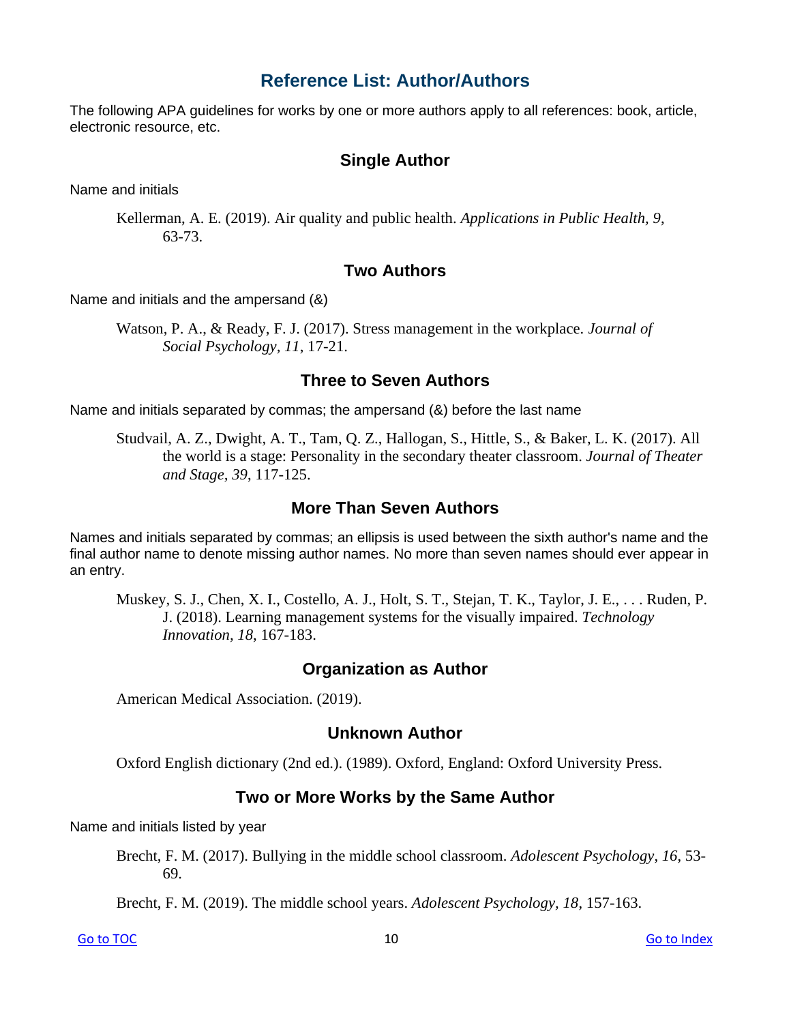# **Reference List: Author/Authors**

<span id="page-9-0"></span>The following APA guidelines for works by one or more authors apply to all references: book, article, electronic resource, etc.

### **Single Author**

Name and initials

Kellerman, A. E. (2019). Air quality and public health. *Applications in Public Health, 9*, 63-73.

#### **Two Authors**

Name and initials and the ampersand (&)

Watson, P. A., & Ready, F. J. (2017). Stress management in the workplace. *Journal of Social Psychology, 11*, 17-21.

#### **Three to Seven Authors**

Name and initials separated by commas; the ampersand (&) before the last name

Studvail, A. Z., Dwight, A. T., Tam, Q. Z., Hallogan, S., Hittle, S., & Baker, L. K. (2017). All the world is a stage: Personality in the secondary theater classroom. *Journal of Theater and Stage, 39*, 117-125.

#### **More Than Seven Authors**

Names and initials separated by commas; an ellipsis is used between the sixth author's name and the final author name to denote missing author names. No more than seven names should ever appear in an entry.

Muskey, S. J., Chen, X. I., Costello, A. J., Holt, S. T., Stejan, T. K., Taylor, J. E., . . . Ruden, P. J. (2018). Learning management systems for the visually impaired. *Technology Innovation, 18*, 167-183.

#### **Organization as Author**

American Medical Association. (2019).

#### **Unknown Author**

Oxford English dictionary (2nd ed.). (1989). Oxford, England: Oxford University Press.

### **Two or More Works by the Same Author**

Name and initials listed by year

Brecht, F. M. (2017). Bullying in the middle school classroom. *Adolescent Psychology*, *16*, 53- 69.

Brecht, F. M. (2019). The middle school years. *Adolescent Psychology, 18*, 157-163.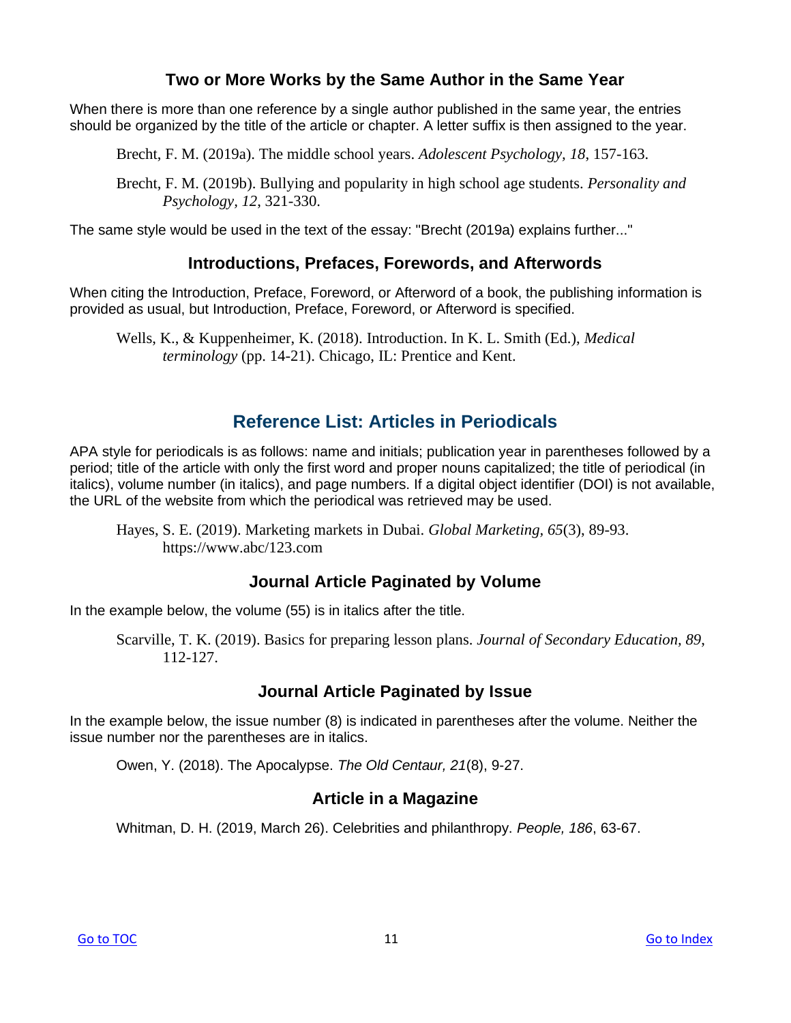## **Two or More Works by the Same Author in the Same Year**

When there is more than one reference by a single author published in the same year, the entries should be organized by the title of the article or chapter. A letter suffix is then assigned to the year.

Brecht, F. M. (2019a). The middle school years. *Adolescent Psychology, 18*, 157-163.

Brecht, F. M. (2019b). Bullying and popularity in high school age students. *Personality and Psychology, 12*, 321-330.

The same style would be used in the text of the essay: "Brecht (2019a) explains further..."

## **Introductions, Prefaces, Forewords, and Afterwords**

When citing the Introduction, Preface, Foreword, or Afterword of a book, the publishing information is provided as usual, but Introduction, Preface, Foreword, or Afterword is specified.

<span id="page-10-0"></span>Wells, K., & Kuppenheimer, K. (2018). Introduction. In K. L. Smith (Ed.), *Medical terminology* (pp. 14-21). Chicago, IL: Prentice and Kent.

# **Reference List: Articles in Periodicals**

APA style for periodicals is as follows: name and initials; publication year in parentheses followed by a period; title of the article with only the first word and proper nouns capitalized; the title of periodical (in italics), volume number (in italics), and page numbers. If a digital object identifier (DOI) is not available, the URL of the website from which the periodical was retrieved may be used.

Hayes, S. E. (2019). Marketing markets in Dubai. *Global Marketing, 65*(3), 89-93. https://www.abc/123.com

## **Journal Article Paginated by Volume**

In the example below, the volume (55) is in italics after the title.

Scarville, T. K. (2019). Basics for preparing lesson plans. *Journal of Secondary Education, 89*, 112-127.

## **Journal Article Paginated by Issue**

In the example below, the issue number (8) is indicated in parentheses after the volume. Neither the issue number nor the parentheses are in italics.

Owen, Y. (2018). The Apocalypse. *The Old Centaur, 21*(8), 9-27.

## **Article in a Magazine**

Whitman, D. H. (2019, March 26). Celebrities and philanthropy. *People, 186*, 63-67.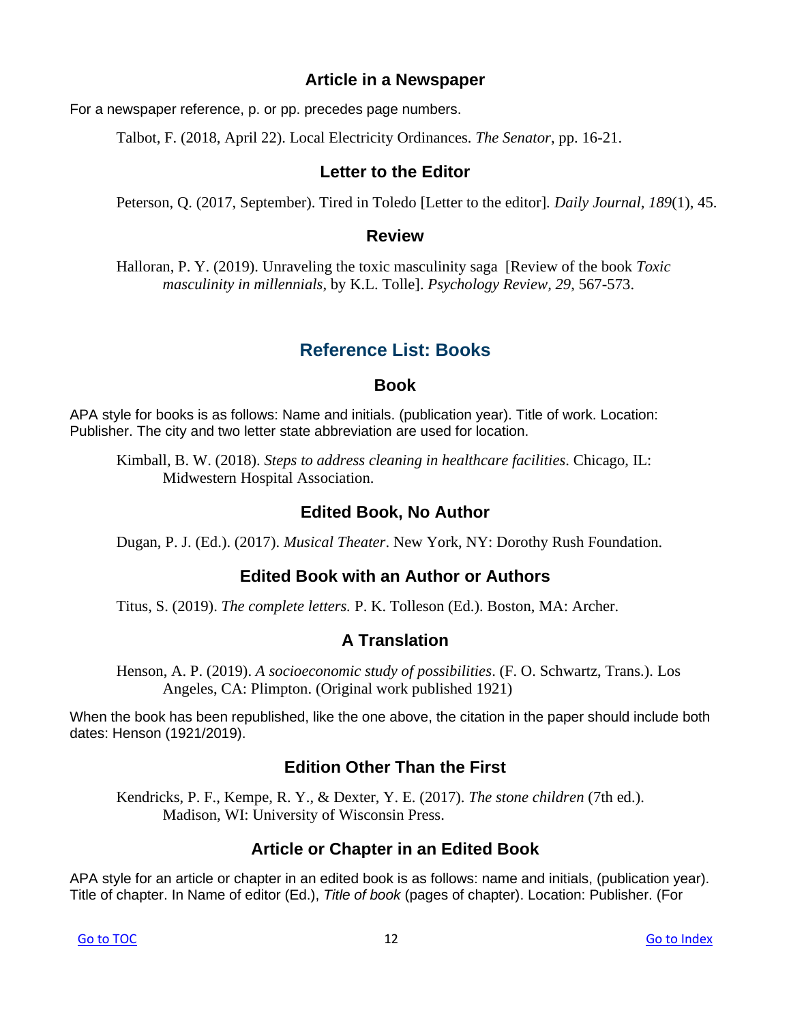## **Article in a Newspaper**

For a newspaper reference, p. or pp. precedes page numbers.

Talbot, F. (2018, April 22). Local Electricity Ordinances. *The Senator*, pp. 16-21.

### **Letter to the Editor**

Peterson, Q. (2017, September). Tired in Toledo [Letter to the editor]. *Daily Journal, 189*(1), 45.

#### **Review**

<span id="page-11-0"></span>Halloran, P. Y. (2019). Unraveling the toxic masculinity saga [Review of the book *Toxic masculinity in millennials*, by K.L. Tolle]. *Psychology Review, 29*, 567-573.

# **Reference List: Books**

#### **Book**

APA style for books is as follows: Name and initials. (publication year). Title of work. Location: Publisher. The city and two letter state abbreviation are used for location.

Kimball, B. W. (2018). *Steps to address cleaning in healthcare facilities*. Chicago, IL: Midwestern Hospital Association.

## **Edited Book, No Author**

Dugan, P. J. (Ed.). (2017). *Musical Theater*. New York, NY: Dorothy Rush Foundation.

#### **Edited Book with an Author or Authors**

Titus, S. (2019). *The complete letters.* P. K. Tolleson (Ed.). Boston, MA: Archer.

## **A Translation**

Henson, A. P. (2019). *A socioeconomic study of possibilities*. (F. O. Schwartz, Trans.). Los Angeles, CA: Plimpton. (Original work published 1921)

When the book has been republished, like the one above, the citation in the paper should include both dates: Henson (1921/2019).

## **Edition Other Than the First**

Kendricks, P. F., Kempe, R. Y., & Dexter, Y. E. (2017). *The stone children* (7th ed.). Madison, WI: University of Wisconsin Press.

## **Article or Chapter in an Edited Book**

APA style for an article or chapter in an edited book is as follows: name and initials, (publication year). Title of chapter. In Name of editor (Ed.), *Title of book* (pages of chapter). Location: Publisher. (For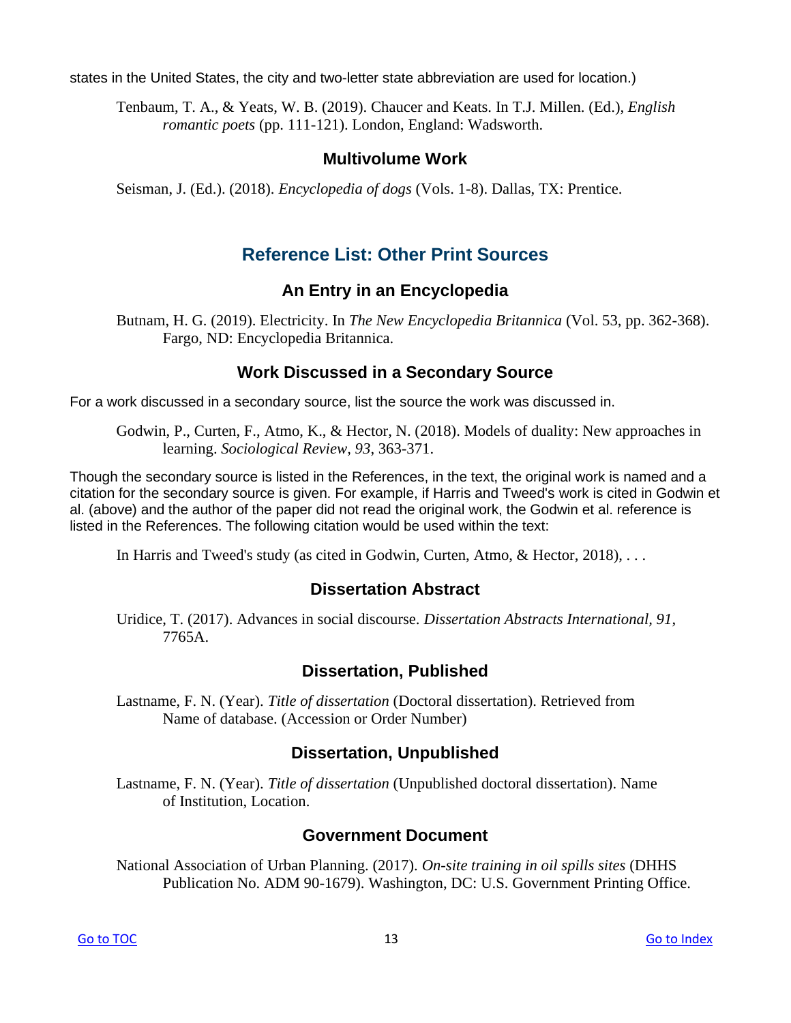states in the United States, the city and two-letter state abbreviation are used for location.)

Tenbaum, T. A., & Yeats, W. B. (2019). Chaucer and Keats. In T.J. Millen. (Ed.), *English romantic poets* (pp. 111-121). London, England: Wadsworth.

### **Multivolume Work**

<span id="page-12-0"></span>Seisman, J. (Ed.). (2018). *Encyclopedia of dogs* (Vols. 1-8). Dallas, TX: Prentice.

# **Reference List: Other Print Sources**

## **An Entry in an Encyclopedia**

Butnam, H. G. (2019). Electricity. In *The New Encyclopedia Britannica* (Vol. 53, pp. 362-368). Fargo, ND: Encyclopedia Britannica.

## **Work Discussed in a Secondary Source**

For a work discussed in a secondary source, list the source the work was discussed in.

Godwin, P., Curten, F., Atmo, K., & Hector, N. (2018). Models of duality: New approaches in learning. *Sociological Review, 93*, 363-371.

Though the secondary source is listed in the References, in the text, the original work is named and a citation for the secondary source is given. For example, if Harris and Tweed's work is cited in Godwin et al. (above) and the author of the paper did not read the original work, the Godwin et al. reference is listed in the References. The following citation would be used within the text:

In Harris and Tweed's study (as cited in Godwin, Curten, Atmo, & Hector, 2018), ...

## **Dissertation Abstract**

Uridice, T. (2017). Advances in social discourse. *Dissertation Abstracts International, 91*, 7765A.

## **Dissertation, Published**

Lastname, F. N. (Year). *Title of dissertation* (Doctoral dissertation). Retrieved from Name of database. (Accession or Order Number)

## **Dissertation, Unpublished**

Lastname, F. N. (Year). *Title of dissertation* (Unpublished doctoral dissertation). Name of Institution, Location.

#### **Government Document**

National Association of Urban Planning. (2017). *On-site training in oil spills sites* (DHHS Publication No. ADM 90-1679). Washington, DC: U.S. Government Printing Office.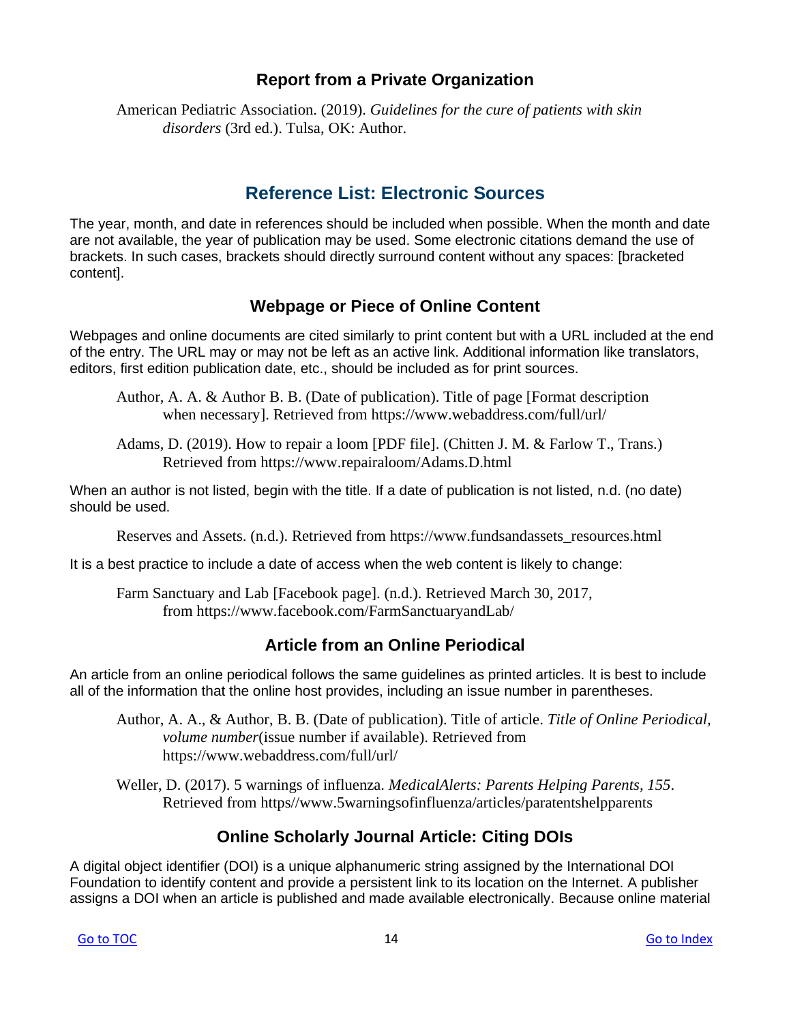## **Report from a Private Organization**

<span id="page-13-0"></span>American Pediatric Association. (2019). *Guidelines for the cure of patients with skin disorders* (3rd ed.). Tulsa, OK: Author.

# **Reference List: Electronic Sources**

The year, month, and date in references should be included when possible. When the month and date are not available, the year of publication may be used. Some electronic citations demand the use of brackets. In such cases, brackets should directly surround content without any spaces: [bracketed content].

## **Webpage or Piece of Online Content**

Webpages and online documents are cited similarly to print content but with a URL included at the end of the entry. The URL may or may not be left as an active link. Additional information like translators, editors, first edition publication date, etc., should be included as for print sources.

Author, A. A. & Author B. B. (Date of publication). Title of page [Format description when necessary]. Retrieved from https://www.webaddress.com/full/url/

Adams, D. (2019). How to repair a loom [PDF file]. (Chitten J. M. & Farlow T., Trans.) Retrieved from https://www.repairaloom/Adams.D.html

When an author is not listed, begin with the title. If a date of publication is not listed, n.d. (no date) should be used.

Reserves and Assets. (n.d.). Retrieved from https://www.fundsandassets\_resources.html

It is a best practice to include a date of access when the web content is likely to change:

Farm Sanctuary and Lab [Facebook page]. (n.d.). Retrieved March 30, 2017, from https://www.facebook.com/FarmSanctuaryandLab/

# **Article from an Online Periodical**

An article from an online periodical follows the same guidelines as printed articles. It is best to include all of the information that the online host provides, including an issue number in parentheses.

Author, A. A., & Author, B. B. (Date of publication). Title of article. *Title of Online Periodical, volume number*(issue number if available). Retrieved from https://www.webaddress.com/full/url/

Weller, D. (2017). 5 warnings of influenza. *MedicalAlerts: Parents Helping Parents, 155*. Retrieved from https//www.5warningsofinfluenza/articles/paratentshelpparents

# **Online Scholarly Journal Article: Citing DOIs**

A digital object identifier (DOI) is a unique alphanumeric string assigned by the International DOI Foundation to identify content and provide a persistent link to its location on the Internet. A publisher assigns a DOI when an article is published and made available electronically. Because online material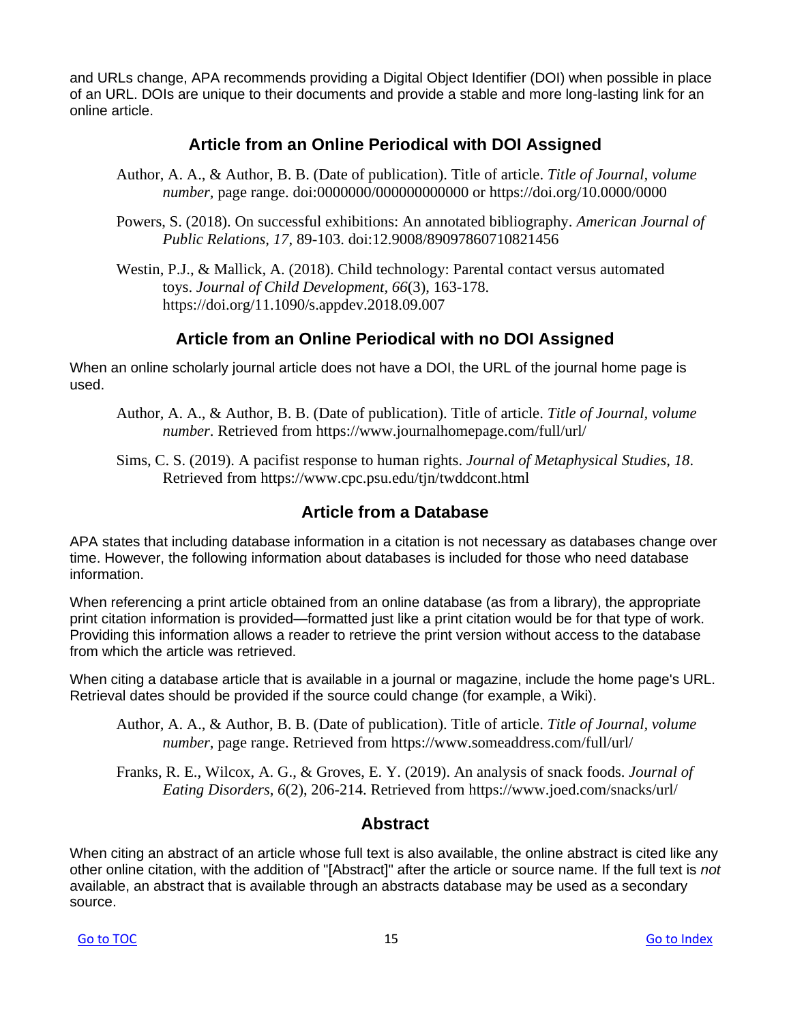and URLs change, APA recommends providing a Digital Object Identifier (DOI) when possible in place of an URL. DOIs are unique to their documents and provide a stable and more long-lasting link for an online article.

## **Article from an Online Periodical with DOI Assigned**

- Author, A. A., & Author, B. B. (Date of publication). Title of article. *Title of Journal, volume number,* page range. doi:0000000/000000000000 or https://doi.org/10.0000/0000
- Powers, S. (2018). On successful exhibitions: An annotated bibliography. *American Journal of Public Relations, 17*, 89-103. doi:12.9008/89097860710821456

Westin, P.J., & Mallick, A. (2018). Child technology: Parental contact versus automated toys. *Journal of Child Development, 66*(3), 163-178. https://doi.org/11.1090/s.appdev.2018.09.007

## **Article from an Online Periodical with no DOI Assigned**

When an online scholarly journal article does not have a DOI, the URL of the journal home page is used.

Author, A. A., & Author, B. B. (Date of publication). Title of article. *Title of Journal, volume number*. Retrieved from https://www.journalhomepage.com/full/url/

Sims, C. S. (2019). A pacifist response to human rights. *Journal of Metaphysical Studies, 18*. Retrieved from https://www.cpc.psu.edu/tjn/twddcont.html

## **Article from a Database**

APA states that including database information in a citation is not necessary as databases change over time. However, the following information about databases is included for those who need database information.

When referencing a print article obtained from an online database (as from a library), the appropriate print citation information is provided—formatted just like a print citation would be for that type of work. Providing this information allows a reader to retrieve the print version without access to the database from which the article was retrieved.

When citing a database article that is available in a journal or magazine, include the home page's URL. Retrieval dates should be provided if the source could change (for example, a Wiki).

Author, A. A., & Author, B. B. (Date of publication). Title of article. *Title of Journal, volume number,* page range. Retrieved from https://www.someaddress.com/full/url/

Franks, R. E., Wilcox, A. G., & Groves, E. Y. (2019). An analysis of snack foods. *Journal of Eating Disorders, 6*(2), 206-214. Retrieved from https://www.joed.com/snacks/url/

## **Abstract**

When citing an abstract of an article whose full text is also available, the online abstract is cited like any other online citation, with the addition of "[Abstract]" after the article or source name. If the full text is *not*  available, an abstract that is available through an abstracts database may be used as a secondary source.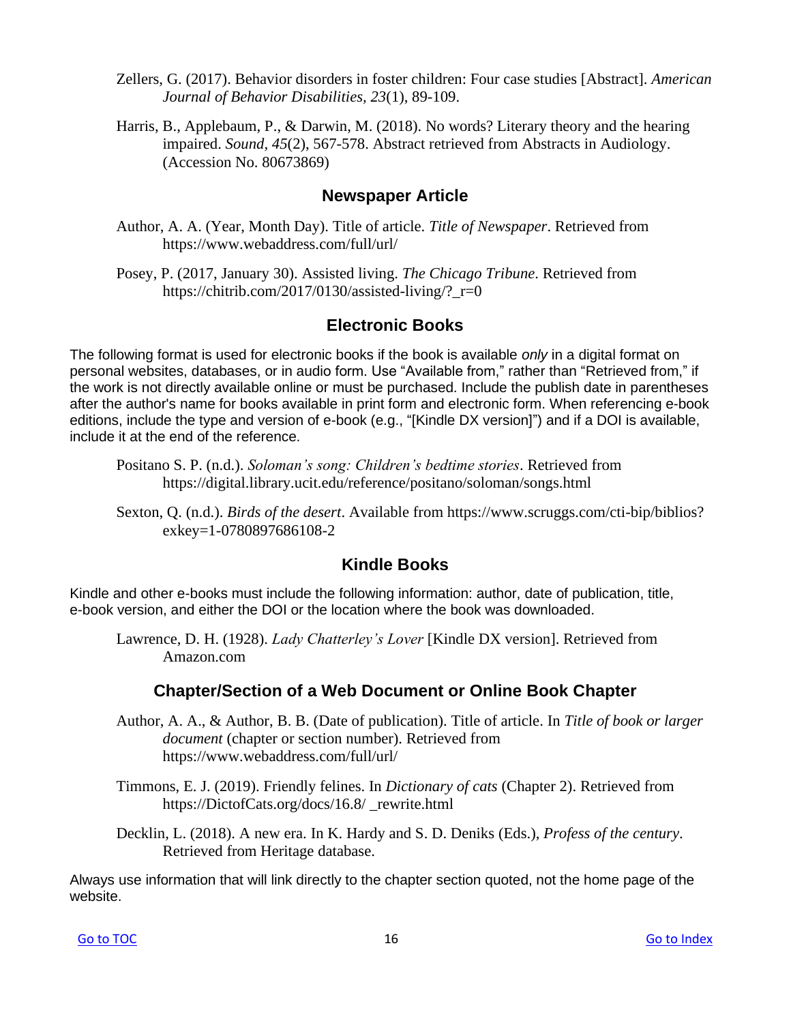- Zellers, G. (2017). Behavior disorders in foster children: Four case studies [Abstract]. *American Journal of Behavior Disabilities, 23*(1), 89-109.
- Harris, B., Applebaum, P., & Darwin, M. (2018). No words? Literary theory and the hearing impaired. *Sound, 45*(2), 567-578. Abstract retrieved from Abstracts in Audiology. (Accession No. 80673869)

## **Newspaper Article**

- Author, A. A. (Year, Month Day). Title of article. *Title of Newspaper*. Retrieved from https://www.webaddress.com/full/url/
- Posey, P. (2017, January 30). Assisted living. *The Chicago Tribune*. Retrieved from https://chitrib.com/2017/0130/assisted-living/?\_r=0

## **Electronic Books**

The following format is used for electronic books if the book is available *only* in a digital format on personal websites, databases, or in audio form. Use "Available from," rather than "Retrieved from," if the work is not directly available online or must be purchased. Include the publish date in parentheses after the author's name for books available in print form and electronic form. When referencing e-book editions, include the type and version of e-book (e.g., "[Kindle DX version]") and if a DOI is available, include it at the end of the reference.

Positano S. P. (n.d.). *Soloman's song: Children's bedtime stories*. Retrieved from https://digital.library.ucit.edu/reference/positano/soloman/songs.html

Sexton, Q. (n.d.). *Birds of the desert*. Available from https://www.scruggs.com/cti-bip/biblios? exkey=1-0780897686108-2

## **Kindle Books**

Kindle and other e-books must include the following information: author, date of publication, title, e-book version, and either the DOI or the location where the book was downloaded.

Lawrence, D. H. (1928). *Lady Chatterley's Lover* [Kindle DX version]. Retrieved from Amazon.com

#### **Chapter/Section of a Web Document or Online Book Chapter**

- Author, A. A., & Author, B. B. (Date of publication). Title of article. In *Title of book or larger document* (chapter or section number). Retrieved from https://www.webaddress.com/full/url/
- Timmons, E. J. (2019). Friendly felines. In *Dictionary of cats* (Chapter 2). Retrieved from https://DictofCats.org/docs/16.8/ \_rewrite.html
- Decklin, L. (2018). A new era. In K. Hardy and S. D. Deniks (Eds.), *Profess of the century*. Retrieved from Heritage database.

Always use information that will link directly to the chapter section quoted, not the home page of the website.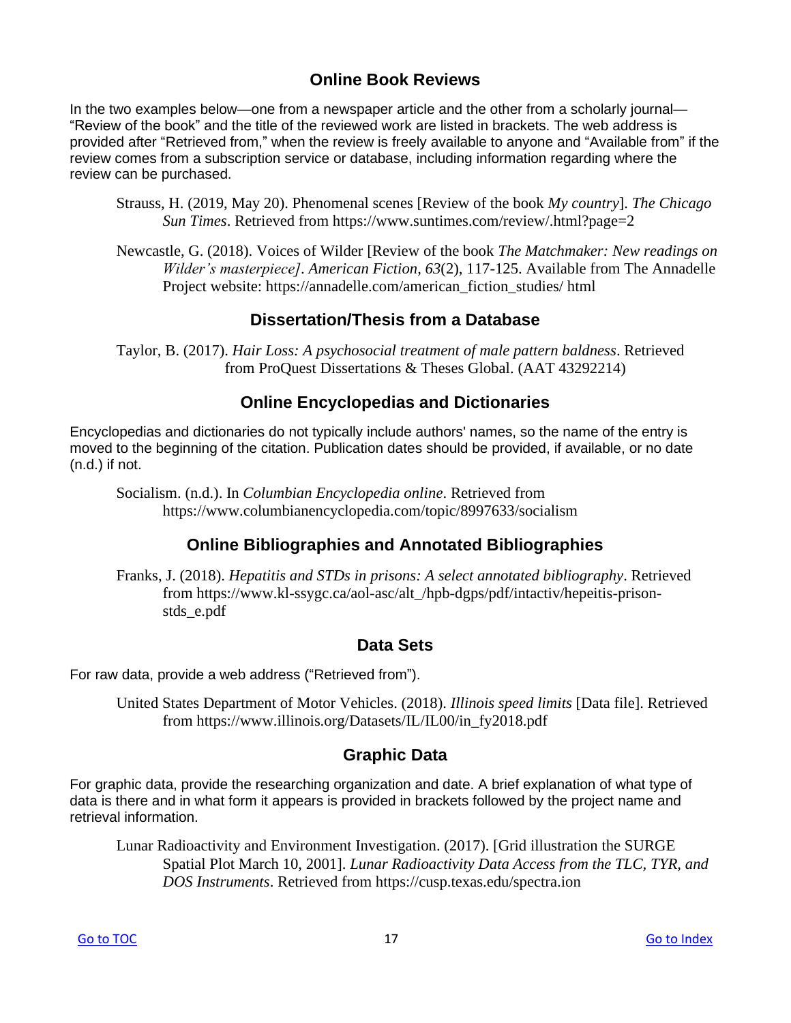## **Online Book Reviews**

In the two examples below—one from a newspaper article and the other from a scholarly journal— "Review of the book" and the title of the reviewed work are listed in brackets. The web address is provided after "Retrieved from," when the review is freely available to anyone and "Available from" if the review comes from a subscription service or database, including information regarding where the review can be purchased.

- Strauss, H. (2019, May 20). Phenomenal scenes [Review of the book *My country*]. *The Chicago Sun Times*. Retrieved from https://www.suntimes.com/review/.html?page=2
- Newcastle, G. (2018). Voices of Wilder [Review of the book *The Matchmaker: New readings on Wilder's masterpiece]*. *American Fiction, 63*(2), 117-125. Available from The Annadelle Project website: https://annadelle.com/american\_fiction\_studies/ html

## **Dissertation/Thesis from a Database**

Taylor, B. (2017). *Hair Loss: A psychosocial treatment of male pattern baldness*. Retrieved from ProQuest Dissertations & Theses Global. (AAT 43292214)

## **Online Encyclopedias and Dictionaries**

Encyclopedias and dictionaries do not typically include authors' names, so the name of the entry is moved to the beginning of the citation. Publication dates should be provided, if available, or no date (n.d.) if not.

Socialism. (n.d.). In *Columbian Encyclopedia online*. Retrieved from https://www.columbianencyclopedia.com/topic/8997633/socialism

## **Online Bibliographies and Annotated Bibliographies**

Franks, J. (2018). *Hepatitis and STDs in prisons: A select annotated bibliography*. Retrieved from https://www.kl-ssygc.ca/aol-asc/alt\_/hpb-dgps/pdf/intactiv/hepeitis-prisonstds\_e.pdf

## **Data Sets**

For raw data, provide a web address ("Retrieved from").

United States Department of Motor Vehicles. (2018). *Illinois speed limits* [Data file]. Retrieved from https://www.illinois.org/Datasets/IL/IL00/in\_fy2018.pdf

## **Graphic Data**

For graphic data, provide the researching organization and date. A brief explanation of what type of data is there and in what form it appears is provided in brackets followed by the project name and retrieval information.

Lunar Radioactivity and Environment Investigation. (2017). [Grid illustration the SURGE Spatial Plot March 10, 2001]. *Lunar Radioactivity Data Access from the TLC, TYR, and DOS Instruments*. Retrieved from https://cusp.texas.edu/spectra.ion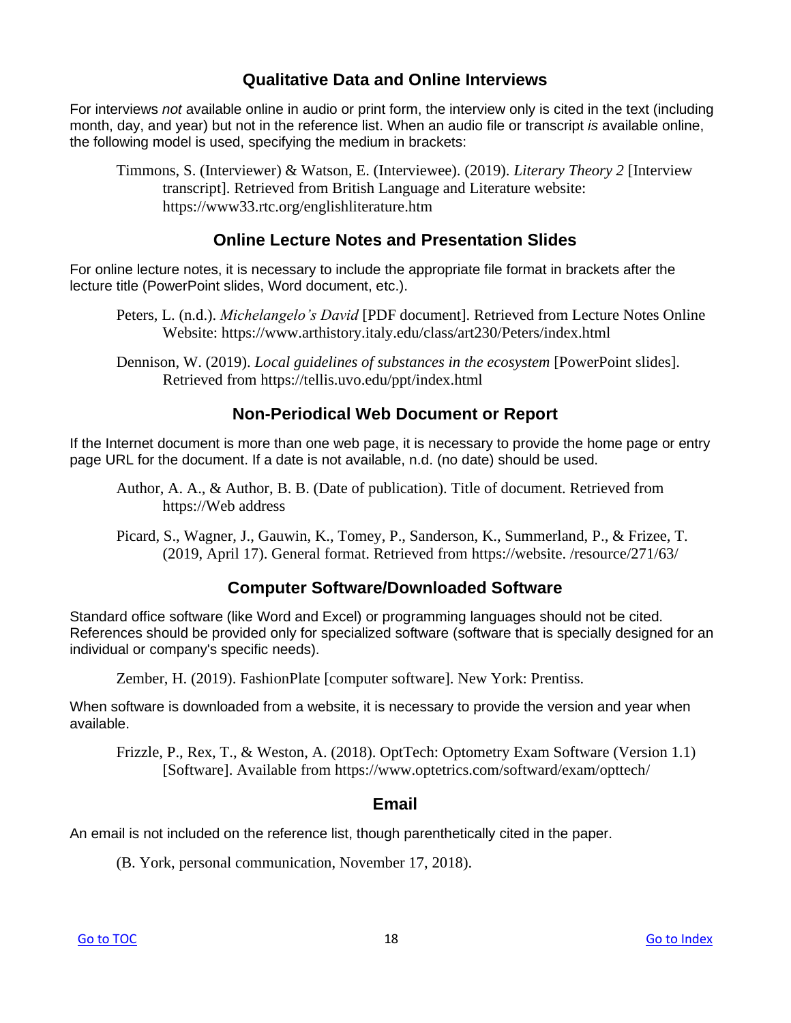## **Qualitative Data and Online Interviews**

For interviews *not* available online in audio or print form, the interview only is cited in the text (including month, day, and year) but not in the reference list. When an audio file or transcript *is* available online, the following model is used, specifying the medium in brackets:

Timmons, S. (Interviewer) & Watson, E. (Interviewee). (2019). *Literary Theory 2* [Interview transcript]. Retrieved from British Language and Literature website: https://www33.rtc.org/englishliterature.htm

## **Online Lecture Notes and Presentation Slides**

For online lecture notes, it is necessary to include the appropriate file format in brackets after the lecture title (PowerPoint slides, Word document, etc.).

Peters, L. (n.d.). *Michelangelo's David* [PDF document]. Retrieved from Lecture Notes Online Website: https://www.arthistory.italy.edu/class/art230/Peters/index.html

Dennison, W. (2019). *Local guidelines of substances in the ecosystem* [PowerPoint slides]. Retrieved from https://tellis.uvo.edu/ppt/index.html

## **Non-Periodical Web Document or Report**

If the Internet document is more than one web page, it is necessary to provide the home page or entry page URL for the document. If a date is not available, n.d. (no date) should be used.

- Author, A. A., & Author, B. B. (Date of publication). Title of document. Retrieved from https://Web address
- Picard, S., Wagner, J., Gauwin, K., Tomey, P., Sanderson, K., Summerland, P., & Frizee, T. (2019, April 17). General format. Retrieved from https://website. /resource/271/63/

## **Computer Software/Downloaded Software**

Standard office software (like Word and Excel) or programming languages should not be cited. References should be provided only for specialized software (software that is specially designed for an individual or company's specific needs).

Zember, H. (2019). FashionPlate [computer software]. New York: Prentiss.

When software is downloaded from a website, it is necessary to provide the version and year when available.

Frizzle, P., Rex, T., & Weston, A. (2018). OptTech: Optometry Exam Software (Version 1.1) [Software]. Available from https://www.optetrics.com/softward/exam/opttech/

#### **Email**

An email is not included on the reference list, though parenthetically cited in the paper.

(B. York, personal communication, November 17, 2018).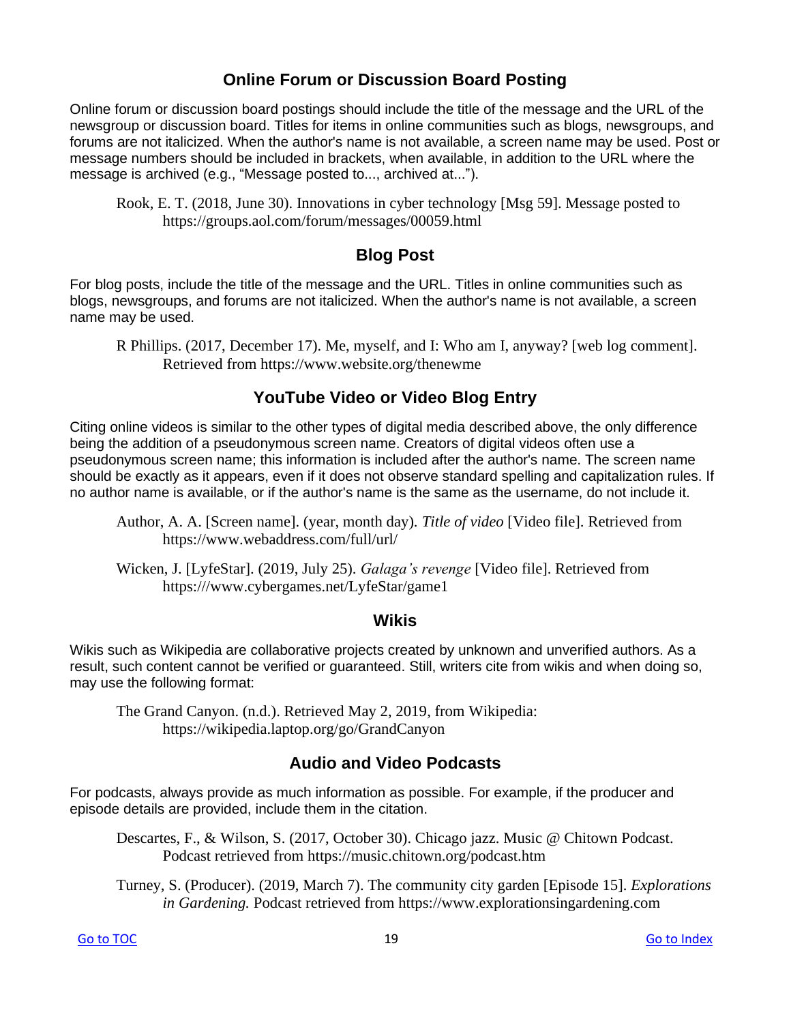# **Online Forum or Discussion Board Posting**

Online forum or discussion board postings should include the title of the message and the URL of the newsgroup or discussion board. Titles for items in online communities such as blogs, newsgroups, and forums are not italicized. When the author's name is not available, a screen name may be used. Post or message numbers should be included in brackets, when available, in addition to the URL where the message is archived (e.g., "Message posted to..., archived at...").

Rook, E. T. (2018, June 30). Innovations in cyber technology [Msg 59]. Message posted to https://groups.aol.com/forum/messages/00059.html

## **Blog Post**

For blog posts, include the title of the message and the URL. Titles in online communities such as blogs, newsgroups, and forums are not italicized. When the author's name is not available, a screen name may be used.

R Phillips. (2017, December 17). Me, myself, and I: Who am I, anyway? [web log comment]. Retrieved from https://www.website.org/thenewme

# **YouTube Video or Video Blog Entry**

Citing online videos is similar to the other types of digital media described above, the only difference being the addition of a pseudonymous screen name. Creators of digital videos often use a pseudonymous screen name; this information is included after the author's name. The screen name should be exactly as it appears, even if it does not observe standard spelling and capitalization rules. If no author name is available, or if the author's name is the same as the username, do not include it.

Author, A. A. [Screen name]. (year, month day). *Title of video* [Video file]. Retrieved from https://www.webaddress.com/full/url/

Wicken, J. [LyfeStar]. (2019, July 25). *Galaga's revenge* [Video file]. Retrieved from https:///www.cybergames.net/LyfeStar/game1

## **Wikis**

Wikis such as Wikipedia are collaborative projects created by unknown and unverified authors. As a result, such content cannot be verified or guaranteed. Still, writers cite from wikis and when doing so, may use the following format:

The Grand Canyon. (n.d.). Retrieved May 2, 2019, from Wikipedia: https://wikipedia.laptop.org/go/GrandCanyon

## **Audio and Video Podcasts**

For podcasts, always provide as much information as possible. For example, if the producer and episode details are provided, include them in the citation.

Descartes, F., & Wilson, S. (2017, October 30). Chicago jazz. Music @ Chitown Podcast. Podcast retrieved from https://music.chitown.org/podcast.htm

Turney, S. (Producer). (2019, March 7). The community city garden [Episode 15]. *Explorations in Gardening.* Podcast retrieved from https://www.explorationsingardening.com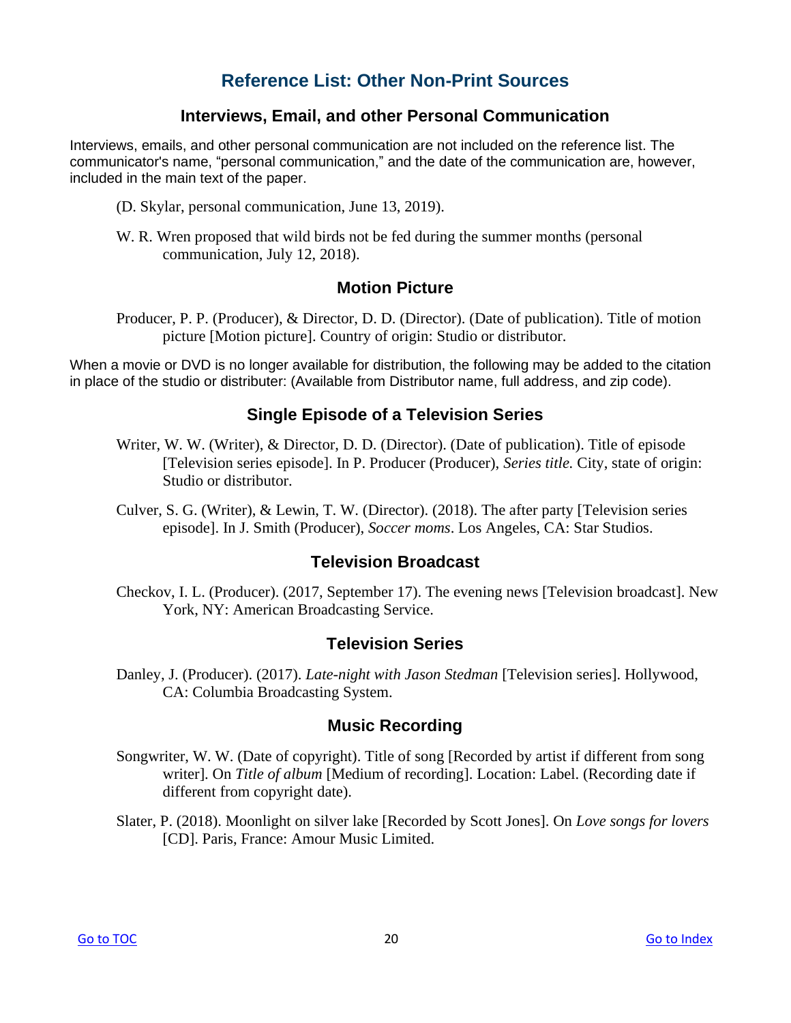# **Reference List: Other Non-Print Sources**

## **Interviews, Email, and other Personal Communication**

<span id="page-19-0"></span>Interviews, emails, and other personal communication are not included on the reference list. The communicator's name, "personal communication," and the date of the communication are, however, included in the main text of the paper.

- (D. Skylar, personal communication, June 13, 2019).
- W. R. Wren proposed that wild birds not be fed during the summer months (personal communication, July 12, 2018).

## **Motion Picture**

Producer, P. P. (Producer), & Director, D. D. (Director). (Date of publication). Title of motion picture [Motion picture]. Country of origin: Studio or distributor.

When a movie or DVD is no longer available for distribution, the following may be added to the citation in place of the studio or distributer: (Available from Distributor name, full address, and zip code).

## **Single Episode of a Television Series**

- Writer, W. W. (Writer), & Director, D. D. (Director). (Date of publication). Title of episode [Television series episode]. In P. Producer (Producer), *Series title.* City, state of origin: Studio or distributor.
- Culver, S. G. (Writer), & Lewin, T. W. (Director). (2018). The after party [Television series episode]. In J. Smith (Producer), *Soccer moms*. Los Angeles, CA: Star Studios.

#### **Television Broadcast**

Checkov, I. L. (Producer). (2017, September 17). The evening news [Television broadcast]. New York, NY: American Broadcasting Service.

#### **Television Series**

Danley, J. (Producer). (2017). *Late-night with Jason Stedman* [Television series]. Hollywood, CA: Columbia Broadcasting System.

## **Music Recording**

- Songwriter, W. W. (Date of copyright). Title of song [Recorded by artist if different from song writer]. On *Title of album* [Medium of recording]. Location: Label. (Recording date if different from copyright date).
- Slater, P. (2018). Moonlight on silver lake [Recorded by Scott Jones]. On *Love songs for lovers* [CD]. Paris, France: Amour Music Limited.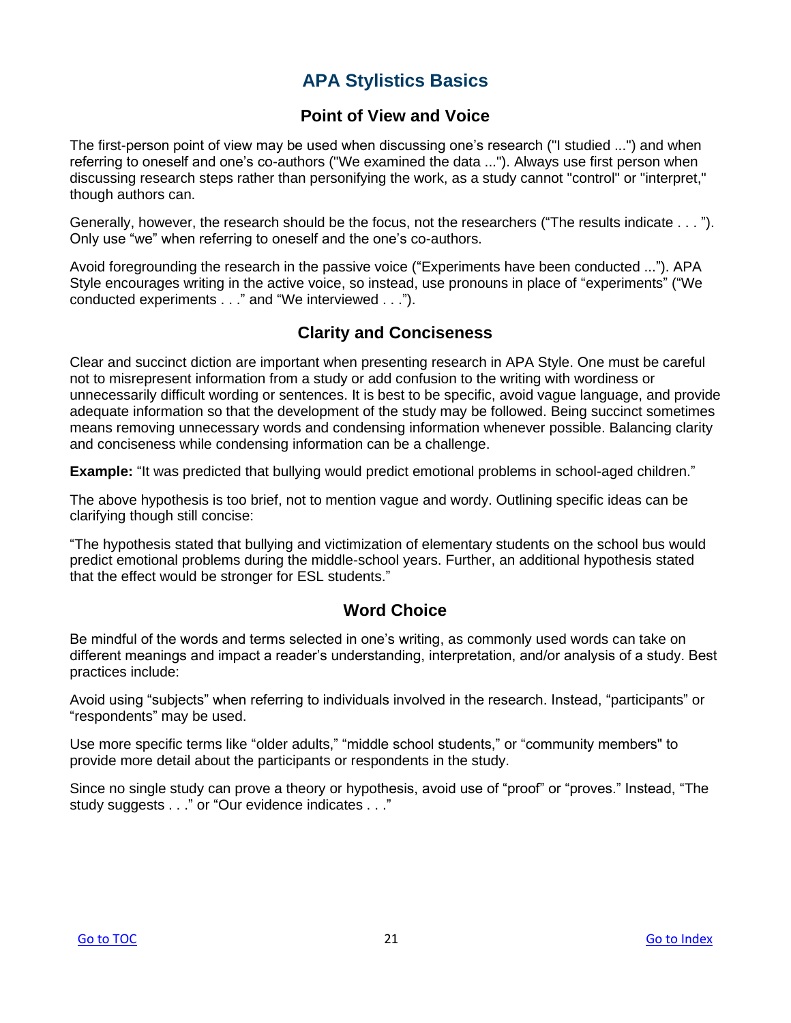# **APA Stylistics Basics**

## **Point of View and Voice**

<span id="page-20-0"></span>The first-person point of view may be used when discussing one's research ("I studied ...") and when referring to oneself and one's co-authors ("We examined the data ..."). Always use first person when discussing research steps rather than personifying the work, as a study cannot "control" or "interpret," though authors can.

Generally, however, the research should be the focus, not the researchers ("The results indicate . . . "). Only use "we" when referring to oneself and the one's co-authors.

Avoid foregrounding the research in the passive voice ("Experiments have been conducted ..."). APA Style encourages writing in the active voice, so instead, use pronouns in place of "experiments" ("We conducted experiments . . ." and "We interviewed . . .").

## **Clarity and Conciseness**

Clear and succinct diction are important when presenting research in APA Style. One must be careful not to misrepresent information from a study or add confusion to the writing with wordiness or unnecessarily difficult wording or sentences. It is best to be specific, avoid vague language, and provide adequate information so that the development of the study may be followed. Being succinct sometimes means removing unnecessary words and condensing information whenever possible. Balancing clarity and conciseness while condensing information can be a challenge.

**Example:** "It was predicted that bullying would predict emotional problems in school-aged children."

The above hypothesis is too brief, not to mention vague and wordy. Outlining specific ideas can be clarifying though still concise:

"The hypothesis stated that bullying and victimization of elementary students on the school bus would predict emotional problems during the middle-school years. Further, an additional hypothesis stated that the effect would be stronger for ESL students."

## **Word Choice**

Be mindful of the words and terms selected in one's writing, as commonly used words can take on different meanings and impact a reader's understanding, interpretation, and/or analysis of a study. Best practices include:

Avoid using "subjects" when referring to individuals involved in the research. Instead, "participants" or "respondents" may be used.

Use more specific terms like "older adults," "middle school students," or "community members" to provide more detail about the participants or respondents in the study.

Since no single study can prove a theory or hypothesis, avoid use of "proof" or "proves." Instead, "The study suggests . . ." or "Our evidence indicates . . ."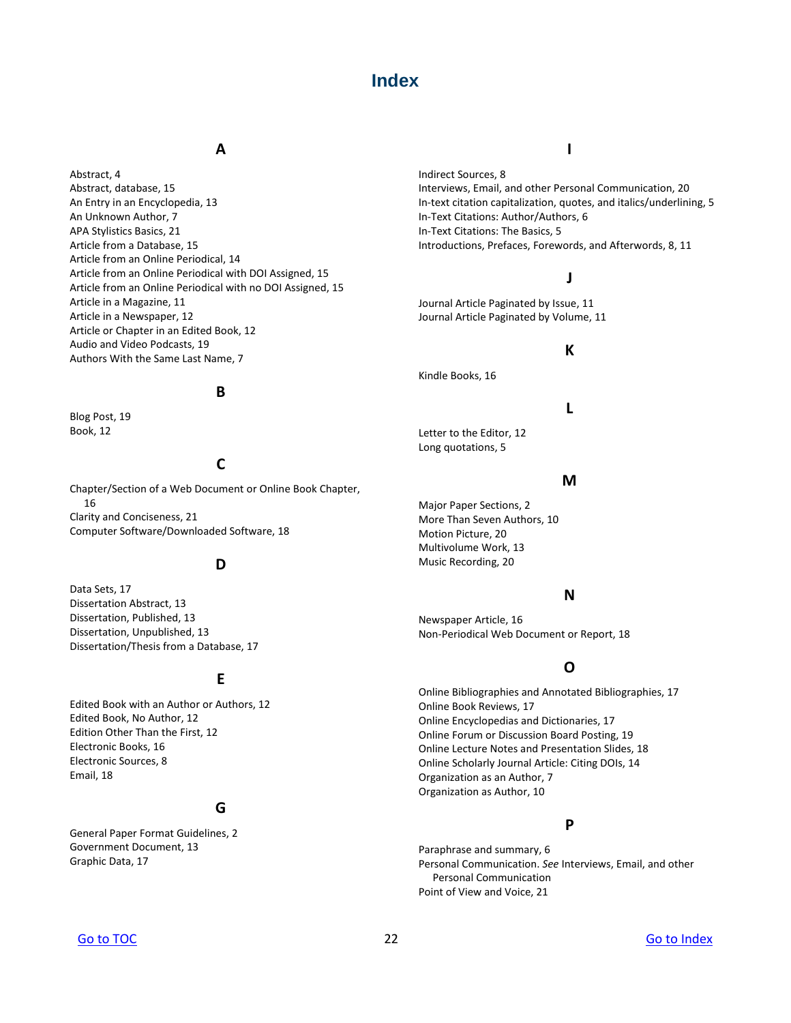## **Index**

#### **A**

<span id="page-21-0"></span>Abstract, 4 Abstract, database, 15 An Entry in an Encyclopedia, 13 An Unknown Author, 7 APA Stylistics Basics, 21 Article from a Database, 15 Article from an Online Periodical, 14 Article from an Online Periodical with DOI Assigned, 15 Article from an Online Periodical with no DOI Assigned, 15 Article in a Magazine, 11 Article in a Newspaper, 12 Article or Chapter in an Edited Book, 12 Audio and Video Podcasts, 19 Authors With the Same Last Name, 7

#### **B**

Blog Post, 19 Book, 12

## **C**

Chapter/Section of a Web Document or Online Book Chapter, 16 Clarity and Conciseness, 21 Computer Software/Downloaded Software, 18

#### **D**

Data Sets, 17 Dissertation Abstract, 13 Dissertation, Published, 13 Dissertation, Unpublished, 13 Dissertation/Thesis from a Database, 17

#### **E**

Edited Book with an Author or Authors, 12 Edited Book, No Author, 12 Edition Other Than the First, 12 Electronic Books, 16 Electronic Sources, 8 Email, 18

#### **G**

General Paper Format Guidelines, 2 Government Document, 13 Graphic Data, 17

#### **I**

Indirect Sources, 8 Interviews, Email, and other Personal Communication, 20 In-text citation capitalization, quotes, and italics/underlining, 5 In-Text Citations: Author/Authors, 6 In-Text Citations: The Basics, 5 Introductions, Prefaces, Forewords, and Afterwords, 8, 11

#### **J**

Journal Article Paginated by Issue, 11 Journal Article Paginated by Volume, 11

#### **K**

Kindle Books, 16

#### **L**

Letter to the Editor, 12 Long quotations, 5

#### **M**

Major Paper Sections, 2 More Than Seven Authors, 10 Motion Picture, 20 Multivolume Work, 13 Music Recording, 20

#### **N**

Newspaper Article, 16 Non-Periodical Web Document or Report, 18

#### **O**

Online Bibliographies and Annotated Bibliographies, 17 Online Book Reviews, 17 Online Encyclopedias and Dictionaries, 17 Online Forum or Discussion Board Posting, 19 Online Lecture Notes and Presentation Slides, 18 Online Scholarly Journal Article: Citing DOIs, 14 Organization as an Author, 7 Organization as Author, 10

#### **P**

Paraphrase and summary, 6 Personal Communication. *See* Interviews, Email, and other Personal Communication Point of View and Voice, 21